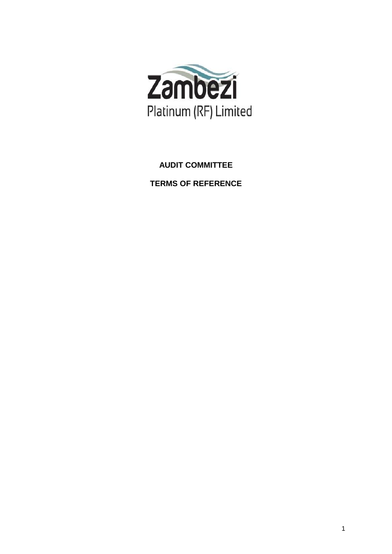

# **AUDIT COMMITTEE**

**TERMS OF REFERENCE**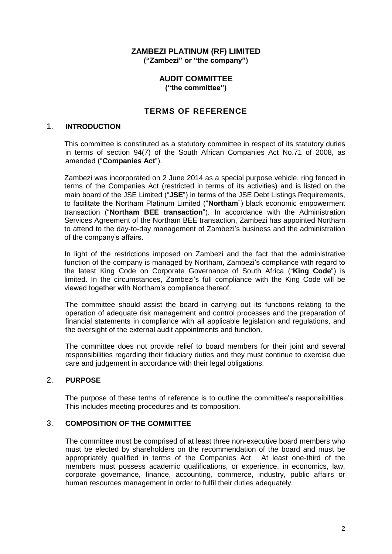# **ZAMBEZI PLATINUM (RF) LIMITED ("Zambezi" or "the company")**

## **AUDIT COMMITTEE ("the committee")**

# **TERMS OF REFERENCE**

## 1. **INTRODUCTION**

This committee is constituted as a statutory committee in respect of its statutory duties in terms of section 94(7) of the South African Companies Act No.71 of 2008, as amended ("**Companies Act**").

Zambezi was incorporated on 2 June 2014 as a special purpose vehicle, ring fenced in terms of the Companies Act (restricted in terms of its activities) and is listed on the main board of the JSE Limited ("**JSE**") in terms of the JSE Debt Listings Requirements, to facilitate the Northam Platinum Limited ("**Northam**") black economic empowerment transaction ("**Northam BEE transaction**"). In accordance with the Administration Services Agreement of the Northam BEE transaction, Zambezi has appointed Northam to attend to the day-to-day management of Zambezi's business and the administration of the company's affairs.

In light of the restrictions imposed on Zambezi and the fact that the administrative function of the company is managed by Northam, Zambezi's compliance with regard to the latest King Code on Corporate Governance of South Africa ("**King Code**") is limited. In the circumstances, Zambezi's full compliance with the King Code will be viewed together with Northam's compliance thereof.

The committee should assist the board in carrying out its functions relating to the operation of adequate risk management and control processes and the preparation of financial statements in compliance with all applicable legislation and regulations, and the oversight of the external audit appointments and function.

The committee does not provide relief to board members for their joint and several responsibilities regarding their fiduciary duties and they must continue to exercise due care and judgement in accordance with their legal obligations.

# 2. **PURPOSE**

The purpose of these terms of reference is to outline the committee's responsibilities. This includes meeting procedures and its composition.

## 3. **COMPOSITION OF THE COMMITTEE**

The committee must be comprised of at least three non-executive board members who must be elected by shareholders on the recommendation of the board and must be appropriately qualified in terms of the Companies Act. At least one-third of the members must possess academic qualifications, or experience, in economics, law, corporate governance, finance, accounting, commerce, industry, public affairs or human resources management in order to fulfil their duties adequately.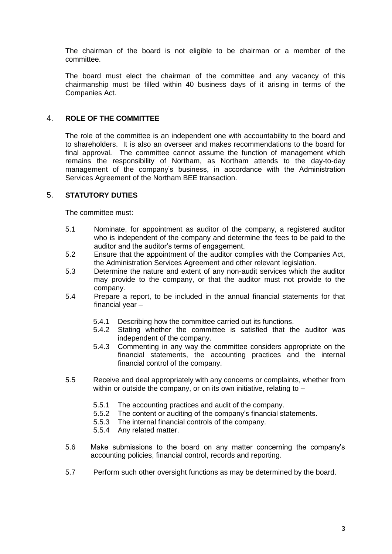The chairman of the board is not eligible to be chairman or a member of the committee.

The board must elect the chairman of the committee and any vacancy of this chairmanship must be filled within 40 business days of it arising in terms of the Companies Act.

# 4. **ROLE OF THE COMMITTEE**

The role of the committee is an independent one with accountability to the board and to shareholders. It is also an overseer and makes recommendations to the board for final approval. The committee cannot assume the function of management which remains the responsibility of Northam, as Northam attends to the day-to-day management of the company's business, in accordance with the Administration Services Agreement of the Northam BEE transaction.

## 5. **STATUTORY DUTIES**

The committee must:

- 5.1 Nominate, for appointment as auditor of the company, a registered auditor who is independent of the company and determine the fees to be paid to the auditor and the auditor's terms of engagement.
- 5.2 Ensure that the appointment of the auditor complies with the Companies Act, the Administration Services Agreement and other relevant legislation.
- 5.3 Determine the nature and extent of any non-audit services which the auditor may provide to the company, or that the auditor must not provide to the company.
- 5.4 Prepare a report, to be included in the annual financial statements for that financial year –
	- 5.4.1 Describing how the committee carried out its functions.
	- 5.4.2 Stating whether the committee is satisfied that the auditor was independent of the company.
	- 5.4.3 Commenting in any way the committee considers appropriate on the financial statements, the accounting practices and the internal financial control of the company.
- 5.5 Receive and deal appropriately with any concerns or complaints, whether from within or outside the company, or on its own initiative, relating to -
	- 5.5.1 The accounting practices and audit of the company.
	- 5.5.2 The content or auditing of the company's financial statements.
	- 5.5.3 The internal financial controls of the company.
	- 5.5.4 Any related matter.
- 5.6 Make submissions to the board on any matter concerning the company's accounting policies, financial control, records and reporting.
- 5.7 Perform such other oversight functions as may be determined by the board.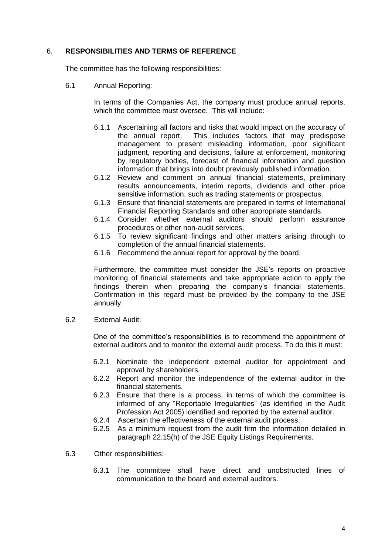# 6. **RESPONSIBILITIES AND TERMS OF REFERENCE**

The committee has the following responsibilities:

6.1 Annual Reporting:

In terms of the Companies Act, the company must produce annual reports, which the committee must oversee. This will include:

- 6.1.1 Ascertaining all factors and risks that would impact on the accuracy of the annual report. This includes factors that may predispose management to present misleading information, poor significant judgment, reporting and decisions, failure at enforcement, monitoring by regulatory bodies, forecast of financial information and question information that brings into doubt previously published information.
- 6.1.2 Review and comment on annual financial statements, preliminary results announcements, interim reports, dividends and other price sensitive information, such as trading statements or prospectus.
- 6.1.3 Ensure that financial statements are prepared in terms of International Financial Reporting Standards and other appropriate standards.
- 6.1.4 Consider whether external auditors should perform assurance procedures or other non-audit services.
- 6.1.5 To review significant findings and other matters arising through to completion of the annual financial statements.
- 6.1.6 Recommend the annual report for approval by the board.

Furthermore, the committee must consider the JSE's reports on proactive monitoring of financial statements and take appropriate action to apply the findings therein when preparing the company's financial statements. Confirmation in this regard must be provided by the company to the JSE annually.

6.2 External Audit:

One of the committee's responsibilities is to recommend the appointment of external auditors and to monitor the external audit process. To do this it must:

- 6.2.1 Nominate the independent external auditor for appointment and approval by shareholders.
- 6.2.2 Report and monitor the independence of the external auditor in the financial statements.
- 6.2.3 Ensure that there is a process, in terms of which the committee is informed of any "Reportable Irregularities" (as identified in the Audit Profession Act 2005) identified and reported by the external auditor.
- 6.2.4 Ascertain the effectiveness of the external audit process.
- 6.2.5 As a minimum request from the audit firm the information detailed in paragraph 22.15(h) of the JSE Equity Listings Requirements.
- 6.3 Other responsibilities:
	- 6.3.1 The committee shall have direct and unobstructed lines of communication to the board and external auditors.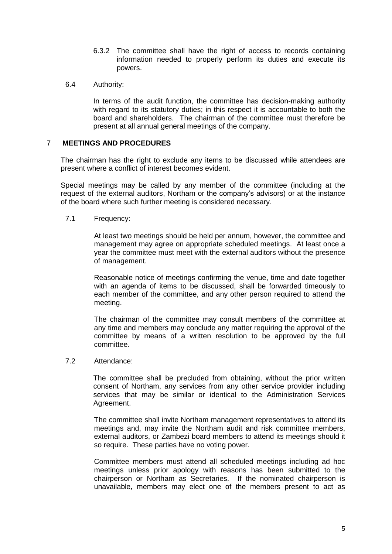- 6.3.2 The committee shall have the right of access to records containing information needed to properly perform its duties and execute its powers.
- 6.4 Authority:

In terms of the audit function, the committee has decision-making authority with regard to its statutory duties; in this respect it is accountable to both the board and shareholders. The chairman of the committee must therefore be present at all annual general meetings of the company.

## 7 **MEETINGS AND PROCEDURES**

The chairman has the right to exclude any items to be discussed while attendees are present where a conflict of interest becomes evident.

Special meetings may be called by any member of the committee (including at the request of the external auditors, Northam or the company's advisors) or at the instance of the board where such further meeting is considered necessary.

7.1 Frequency:

At least two meetings should be held per annum, however, the committee and management may agree on appropriate scheduled meetings. At least once a year the committee must meet with the external auditors without the presence of management.

Reasonable notice of meetings confirming the venue, time and date together with an agenda of items to be discussed, shall be forwarded timeously to each member of the committee, and any other person required to attend the meeting.

The chairman of the committee may consult members of the committee at any time and members may conclude any matter requiring the approval of the committee by means of a written resolution to be approved by the full committee.

7.2 Attendance:

The committee shall be precluded from obtaining, without the prior written consent of Northam, any services from any other service provider including services that may be similar or identical to the Administration Services Agreement.

The committee shall invite Northam management representatives to attend its meetings and, may invite the Northam audit and risk committee members, external auditors, or Zambezi board members to attend its meetings should it so require. These parties have no voting power.

Committee members must attend all scheduled meetings including ad hoc meetings unless prior apology with reasons has been submitted to the chairperson or Northam as Secretaries. If the nominated chairperson is unavailable, members may elect one of the members present to act as